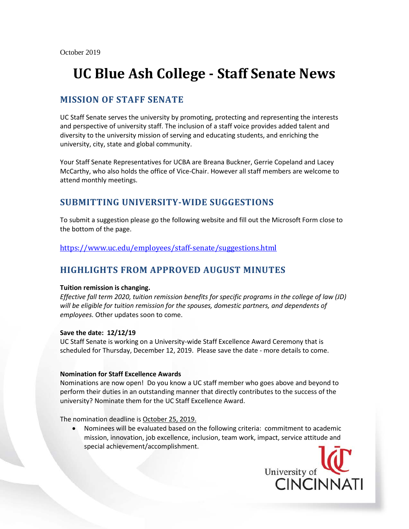# **UC Blue Ash College - Staff Senate News**

### **MISSION OF STAFF SENATE**

UC Staff Senate serves the university by promoting, protecting and representing the interests and perspective of university staff. The inclusion of a staff voice provides added talent and diversity to the university mission of serving and educating students, and enriching the university, city, state and global community.

Your Staff Senate Representatives for UCBA are Breana Buckner, Gerrie Copeland and Lacey McCarthy, who also holds the office of Vice-Chair. However all staff members are welcome to attend monthly meetings.

## **SUBMITTING UNIVERSITY-WIDE SUGGESTIONS**

To submit a suggestion please go the following website and fill out the Microsoft Form close to the bottom of the page.

<https://www.uc.edu/employees/staff-senate/suggestions.html>

## **HIGHLIGHTS FROM APPROVED AUGUST MINUTES**

#### **Tuition remission is changing.**

*Effective fall term 2020, tuition remission benefits for specific programs in the college of law (JD) will be eligible for tuition remission for the spouses, domestic partners, and dependents of employees.* Other updates soon to come.

#### **Save the date: 12/12/19**

UC Staff Senate is working on a University-wide Staff Excellence Award Ceremony that is scheduled for Thursday, December 12, 2019. Please save the date - more details to come.

#### **Nomination for Staff Excellence Awards**

Nominations are now open! Do you know a UC staff member who goes above and beyond to perform their duties in an outstanding manner that directly contributes to the success of the university? Nominate them for the UC Staff Excellence Award.

The nomination deadline is October 25, 2019.

• Nominees will be evaluated based on the following criteria: commitment to academic mission, innovation, job excellence, inclusion, team work, impact, service attitude and special achievement/accomplishment.